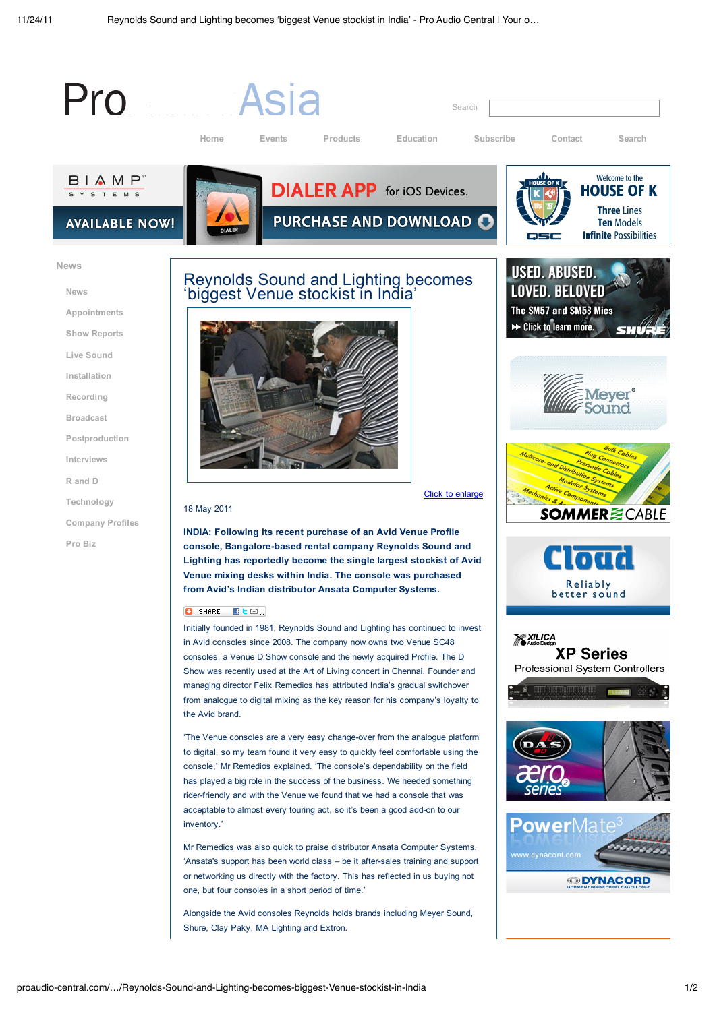